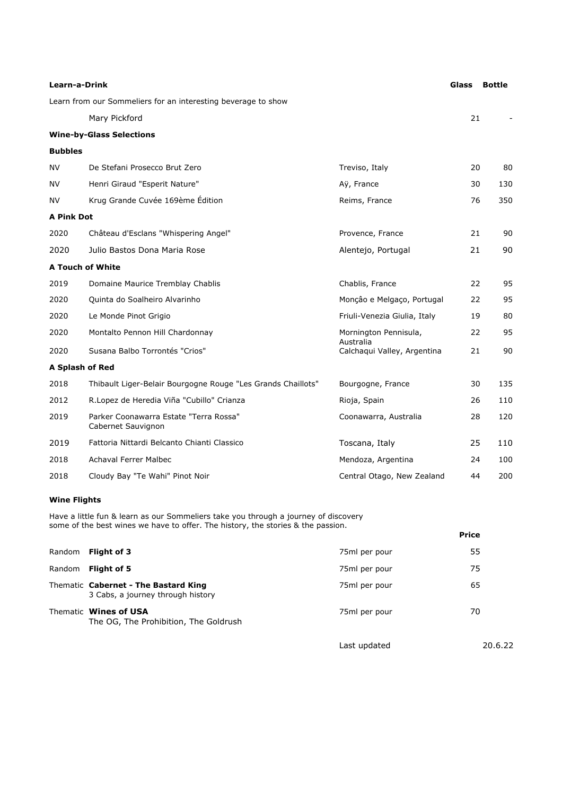| Learn-a-Drink                                                 |                                                              | Glass                              | <b>Bottle</b> |     |
|---------------------------------------------------------------|--------------------------------------------------------------|------------------------------------|---------------|-----|
| Learn from our Sommeliers for an interesting beverage to show |                                                              |                                    |               |     |
|                                                               | Mary Pickford                                                |                                    | 21            |     |
|                                                               | <b>Wine-by-Glass Selections</b>                              |                                    |               |     |
| <b>Bubbles</b>                                                |                                                              |                                    |               |     |
| <b>NV</b>                                                     | De Stefani Prosecco Brut Zero                                | Treviso, Italy                     | 20            | 80  |
| NV                                                            | Henri Giraud "Esperit Nature"                                | Aÿ, France                         | 30            | 130 |
| NV                                                            | Krug Grande Cuvée 169ème Édition                             | Reims, France                      | 76            | 350 |
| <b>A Pink Dot</b>                                             |                                                              |                                    |               |     |
| 2020                                                          | Château d'Esclans "Whispering Angel"                         | Provence, France                   | 21            | 90  |
| 2020                                                          | Julio Bastos Dona Maria Rose                                 | Alentejo, Portugal                 | 21            | 90  |
| <b>A Touch of White</b>                                       |                                                              |                                    |               |     |
| 2019                                                          | Domaine Maurice Tremblay Chablis                             | Chablis, France                    | 22            | 95  |
| 2020                                                          | Quinta do Soalheiro Alvarinho                                | Monção e Melgaço, Portugal         | 22            | 95  |
| 2020                                                          | Le Monde Pinot Grigio                                        | Friuli-Venezia Giulia, Italy       | 19            | 80  |
| 2020                                                          | Montalto Pennon Hill Chardonnay                              | Mornington Pennisula,<br>Australia | 22            | 95  |
| 2020                                                          | Susana Balbo Torrontés "Crios"                               | Calchaqui Valley, Argentina        | 21            | 90  |
| A Splash of Red                                               |                                                              |                                    |               |     |
| 2018                                                          | Thibault Liger-Belair Bourgogne Rouge "Les Grands Chaillots" | Bourgogne, France                  | 30            | 135 |
| 2012                                                          | R.Lopez de Heredia Viña "Cubillo" Crianza                    | Rioja, Spain                       | 26            | 110 |
| 2019                                                          | Parker Coonawarra Estate "Terra Rossa"<br>Cabernet Sauvignon | Coonawarra, Australia              | 28            | 120 |
| 2019                                                          | Fattoria Nittardi Belcanto Chianti Classico                  | Toscana, Italy                     | 25            | 110 |
| 2018                                                          | <b>Achaval Ferrer Malbec</b>                                 | Mendoza, Argentina                 | 24            | 100 |
| 2018                                                          | Cloudy Bay "Te Wahi" Pinot Noir                              | Central Otago, New Zealand         | 44            | 200 |

# **Wine Flights**

Have a little fun & learn as our Sommeliers take you through a journey of discovery some of the best wines we have to offer. The history, the stories & the passion.

|        | SUITE OF THE DEST WILLES WE HAVE TO UITEL. THE HISTOLY, THE STUTES & THE PASSION. |               | <b>Price</b> |
|--------|-----------------------------------------------------------------------------------|---------------|--------------|
| Random | Flight of 3                                                                       | 75ml per pour | 55           |
| Random | Flight of 5                                                                       | 75ml per pour | 75           |
|        | Thematic Cabernet - The Bastard King<br>3 Cabs, a journey through history         | 75ml per pour | 65           |
|        | Thematic Wines of USA<br>The OG, The Prohibition, The Goldrush                    | 75ml per pour | 70           |
|        |                                                                                   | Last updated  | 20.6.22      |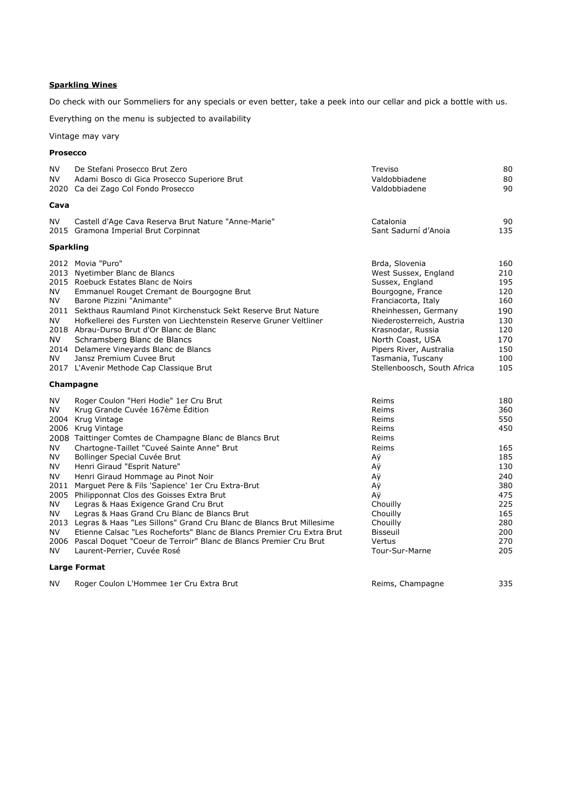### **Sparkling Wines**

Do check with our Sommeliers for any specials or even better, take a peek into our cellar and pick a bottle with us.

Everything on the menu is subjected to availability

Vintage may vary

#### **Prosecco**

| NV.<br>NV                                                                         | De Stefani Prosecco Brut Zero<br>Adami Bosco di Gica Prosecco Superiore Brut<br>2020 Ca dei Zago Col Fondo Prosecco                                                                                                                                                                                                                                                                                                                                                                                                                                                                                                                                                                                                                                                                                 | Treviso<br>Valdobbiadene<br>Valdobbiadene                                                                                                                                                                                                                                          | 80<br>80<br>90                                                                                               |
|-----------------------------------------------------------------------------------|-----------------------------------------------------------------------------------------------------------------------------------------------------------------------------------------------------------------------------------------------------------------------------------------------------------------------------------------------------------------------------------------------------------------------------------------------------------------------------------------------------------------------------------------------------------------------------------------------------------------------------------------------------------------------------------------------------------------------------------------------------------------------------------------------------|------------------------------------------------------------------------------------------------------------------------------------------------------------------------------------------------------------------------------------------------------------------------------------|--------------------------------------------------------------------------------------------------------------|
| Cava                                                                              |                                                                                                                                                                                                                                                                                                                                                                                                                                                                                                                                                                                                                                                                                                                                                                                                     |                                                                                                                                                                                                                                                                                    |                                                                                                              |
| <b>NV</b>                                                                         | Castell d'Age Cava Reserva Brut Nature "Anne-Marie"<br>2015 Gramona Imperial Brut Corpinnat                                                                                                                                                                                                                                                                                                                                                                                                                                                                                                                                                                                                                                                                                                         | Catalonia<br>Sant Sadurní d'Anoia                                                                                                                                                                                                                                                  | 90<br>135                                                                                                    |
| <b>Sparkling</b>                                                                  |                                                                                                                                                                                                                                                                                                                                                                                                                                                                                                                                                                                                                                                                                                                                                                                                     |                                                                                                                                                                                                                                                                                    |                                                                                                              |
| NV<br>NV<br>NV<br>NV.<br>NV.                                                      | 2012 Movia "Puro"<br>2013 Nyetimber Blanc de Blancs<br>2015 Roebuck Estates Blanc de Noirs<br>Emmanuel Rouget Cremant de Bourgogne Brut<br>Barone Pizzini "Animante"<br>2011 Sekthaus Raumland Pinot Kirchenstuck Sekt Reserve Brut Nature<br>Hofkellerei des Fursten von Liechtenstein Reserve Gruner Veltliner<br>2018 Abrau-Durso Brut d'Or Blanc de Blanc<br>Schramsberg Blanc de Blancs<br>2014 Delamere Vineyards Blanc de Blancs<br>Jansz Premium Cuvee Brut<br>2017 L'Avenir Methode Cap Classique Brut                                                                                                                                                                                                                                                                                     | Brda, Slovenia<br>West Sussex, England<br>Sussex, England<br>Bourgogne, France<br>Franciacorta, Italy<br>Rheinhessen, Germany<br>Niederosterreich, Austria<br>Krasnodar, Russia<br>North Coast, USA<br>Pipers River, Australia<br>Tasmania, Tuscany<br>Stellenboosch, South Africa | 160<br>210<br>195<br>120<br>160<br>190<br>130<br>120<br>170<br>150<br>100<br>105                             |
|                                                                                   | Champagne                                                                                                                                                                                                                                                                                                                                                                                                                                                                                                                                                                                                                                                                                                                                                                                           |                                                                                                                                                                                                                                                                                    |                                                                                                              |
| NV.<br>ΝV<br>NV<br>ΝV<br><b>NV</b><br><b>NV</b><br>2011<br>NV<br>ΝV<br>NV.<br>NV. | Roger Coulon "Heri Hodie" 1er Cru Brut<br>Krug Grande Cuvée 167ème Édition<br>2004 Krug Vintage<br>2006 Krug Vintage<br>2008 Taittinger Comtes de Champagne Blanc de Blancs Brut<br>Chartogne-Taillet "Cuveé Sainte Anne" Brut<br>Bollinger Special Cuvée Brut<br>Henri Giraud "Esprit Nature"<br>Henri Giraud Hommage au Pinot Noir<br>Marguet Pere & Fils 'Sapience' 1er Cru Extra-Brut<br>2005 Philipponnat Clos des Goisses Extra Brut<br>Legras & Haas Exigence Grand Cru Brut<br>Legras & Haas Grand Cru Blanc de Blancs Brut<br>2013 Legras & Haas "Les Sillons" Grand Cru Blanc de Blancs Brut Millesime<br>Etienne Calsac "Les Rocheforts" Blanc de Blancs Premier Cru Extra Brut<br>2006 Pascal Doquet "Coeur de Terroir" Blanc de Blancs Premier Cru Brut<br>Laurent-Perrier, Cuvée Rosé | Reims<br>Reims<br>Reims<br>Reims<br>Reims<br>Reims<br>Αÿ<br>Αÿ<br>Αÿ<br>Αÿ<br>Αÿ<br>Chouilly<br>Chouilly<br>Chouilly<br><b>Bisseuil</b><br>Vertus<br>Tour-Sur-Marne                                                                                                                | 180<br>360<br>550<br>450<br>165<br>185<br>130<br>240<br>380<br>475<br>225<br>165<br>280<br>200<br>270<br>205 |
|                                                                                   | <b>Large Format</b>                                                                                                                                                                                                                                                                                                                                                                                                                                                                                                                                                                                                                                                                                                                                                                                 |                                                                                                                                                                                                                                                                                    |                                                                                                              |
| NV                                                                                | Roger Coulon L'Hommee 1er Cru Extra Brut                                                                                                                                                                                                                                                                                                                                                                                                                                                                                                                                                                                                                                                                                                                                                            | Reims, Champagne                                                                                                                                                                                                                                                                   | 335                                                                                                          |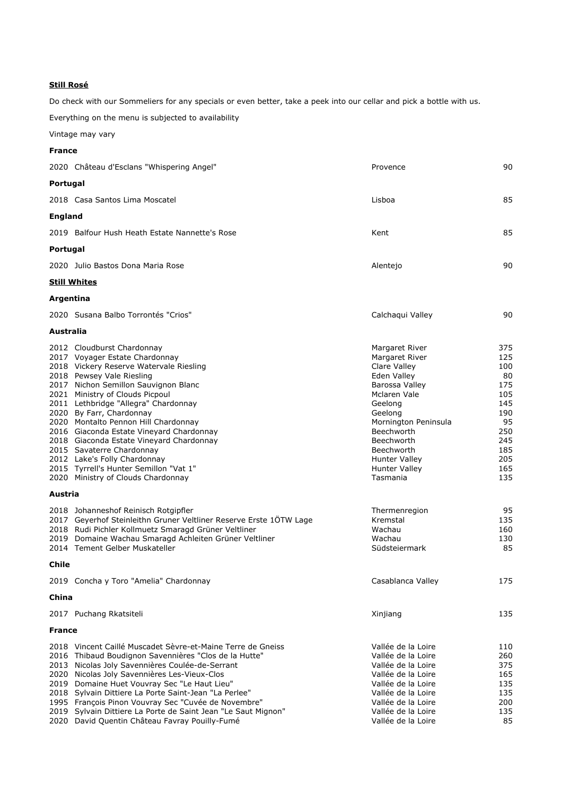#### **Still Rosé**

Do check with our Sommeliers for any specials or even better, take a peek into our cellar and pick a bottle with us.

Everything on the menu is subjected to availability

Vintage may vary

|                | <b>France</b>                                                                                                                                                                                                                                                                                                                                                                                                                                                                                                                                                                                                                                                                                                                                                                                                                      |                                                                                                                                                                                                                                                                                                                         |                                                                                                                                      |  |
|----------------|------------------------------------------------------------------------------------------------------------------------------------------------------------------------------------------------------------------------------------------------------------------------------------------------------------------------------------------------------------------------------------------------------------------------------------------------------------------------------------------------------------------------------------------------------------------------------------------------------------------------------------------------------------------------------------------------------------------------------------------------------------------------------------------------------------------------------------|-------------------------------------------------------------------------------------------------------------------------------------------------------------------------------------------------------------------------------------------------------------------------------------------------------------------------|--------------------------------------------------------------------------------------------------------------------------------------|--|
|                | 2020 Château d'Esclans "Whispering Angel"                                                                                                                                                                                                                                                                                                                                                                                                                                                                                                                                                                                                                                                                                                                                                                                          | Provence                                                                                                                                                                                                                                                                                                                | 90                                                                                                                                   |  |
| Portugal       |                                                                                                                                                                                                                                                                                                                                                                                                                                                                                                                                                                                                                                                                                                                                                                                                                                    |                                                                                                                                                                                                                                                                                                                         |                                                                                                                                      |  |
|                | 2018 Casa Santos Lima Moscatel                                                                                                                                                                                                                                                                                                                                                                                                                                                                                                                                                                                                                                                                                                                                                                                                     | Lisboa                                                                                                                                                                                                                                                                                                                  | 85                                                                                                                                   |  |
| <b>England</b> |                                                                                                                                                                                                                                                                                                                                                                                                                                                                                                                                                                                                                                                                                                                                                                                                                                    |                                                                                                                                                                                                                                                                                                                         |                                                                                                                                      |  |
|                | 2019 Balfour Hush Heath Estate Nannette's Rose                                                                                                                                                                                                                                                                                                                                                                                                                                                                                                                                                                                                                                                                                                                                                                                     | Kent                                                                                                                                                                                                                                                                                                                    | 85                                                                                                                                   |  |
| Portugal       |                                                                                                                                                                                                                                                                                                                                                                                                                                                                                                                                                                                                                                                                                                                                                                                                                                    |                                                                                                                                                                                                                                                                                                                         |                                                                                                                                      |  |
|                |                                                                                                                                                                                                                                                                                                                                                                                                                                                                                                                                                                                                                                                                                                                                                                                                                                    |                                                                                                                                                                                                                                                                                                                         |                                                                                                                                      |  |
|                | 2020 Julio Bastos Dona Maria Rose                                                                                                                                                                                                                                                                                                                                                                                                                                                                                                                                                                                                                                                                                                                                                                                                  | Alentejo                                                                                                                                                                                                                                                                                                                | 90                                                                                                                                   |  |
|                | <b>Still Whites</b>                                                                                                                                                                                                                                                                                                                                                                                                                                                                                                                                                                                                                                                                                                                                                                                                                |                                                                                                                                                                                                                                                                                                                         |                                                                                                                                      |  |
| Argentina      |                                                                                                                                                                                                                                                                                                                                                                                                                                                                                                                                                                                                                                                                                                                                                                                                                                    |                                                                                                                                                                                                                                                                                                                         |                                                                                                                                      |  |
|                | 2020 Susana Balbo Torrontés "Crios"                                                                                                                                                                                                                                                                                                                                                                                                                                                                                                                                                                                                                                                                                                                                                                                                | Calchaqui Valley                                                                                                                                                                                                                                                                                                        | 90                                                                                                                                   |  |
| Australia      |                                                                                                                                                                                                                                                                                                                                                                                                                                                                                                                                                                                                                                                                                                                                                                                                                                    |                                                                                                                                                                                                                                                                                                                         |                                                                                                                                      |  |
| Austria        | 2012 Cloudburst Chardonnay<br>2017 Voyager Estate Chardonnay<br>2018 Vickery Reserve Watervale Riesling<br>2018 Pewsey Vale Riesling<br>2017 Nichon Semillon Sauvignon Blanc<br>2021 Ministry of Clouds Picpoul<br>2011 Lethbridge "Allegra" Chardonnay<br>2020 By Farr, Chardonnay<br>2020 Montalto Pennon Hill Chardonnay<br>2016 Giaconda Estate Vineyard Chardonnay<br>2018 Giaconda Estate Vineyard Chardonnay<br>2015 Savaterre Chardonnay<br>2012 Lake's Folly Chardonnay<br>2015 Tyrrell's Hunter Semillon "Vat 1"<br>2020 Ministry of Clouds Chardonnay<br>2018 Johanneshof Reinisch Rotgipfler<br>2017 Geyerhof Steinleithn Gruner Veltliner Reserve Erste 10TW Lage<br>2018 Rudi Pichler Kollmuetz Smaragd Grüner Veltliner<br>2019 Domaine Wachau Smaragd Achleiten Grüner Veltliner<br>2014 Tement Gelber Muskateller | Margaret River<br>Margaret River<br>Clare Valley<br>Eden Valley<br>Barossa Vallev<br>Mclaren Vale<br>Geelong<br>Geelong<br>Mornington Peninsula<br><b>Beechworth</b><br>Beechworth<br>Beechworth<br>Hunter Valley<br><b>Hunter Valley</b><br>Tasmania<br>Thermenregion<br>Kremstal<br>Wachau<br>Wachau<br>Südsteiermark | 375<br>125<br>100<br>80<br>175<br>105<br>145<br>190<br>95<br>250<br>245<br>185<br>205<br>165<br>135<br>95<br>135<br>160<br>130<br>85 |  |
|                |                                                                                                                                                                                                                                                                                                                                                                                                                                                                                                                                                                                                                                                                                                                                                                                                                                    |                                                                                                                                                                                                                                                                                                                         |                                                                                                                                      |  |
| Chile          |                                                                                                                                                                                                                                                                                                                                                                                                                                                                                                                                                                                                                                                                                                                                                                                                                                    |                                                                                                                                                                                                                                                                                                                         |                                                                                                                                      |  |
|                | 2019 Concha y Toro "Amelia" Chardonnay                                                                                                                                                                                                                                                                                                                                                                                                                                                                                                                                                                                                                                                                                                                                                                                             | Casablanca Valley                                                                                                                                                                                                                                                                                                       | 175                                                                                                                                  |  |
| China          |                                                                                                                                                                                                                                                                                                                                                                                                                                                                                                                                                                                                                                                                                                                                                                                                                                    |                                                                                                                                                                                                                                                                                                                         |                                                                                                                                      |  |
|                | 2017 Puchang Rkatsiteli                                                                                                                                                                                                                                                                                                                                                                                                                                                                                                                                                                                                                                                                                                                                                                                                            | Xinjiang                                                                                                                                                                                                                                                                                                                | 135                                                                                                                                  |  |
| <b>France</b>  |                                                                                                                                                                                                                                                                                                                                                                                                                                                                                                                                                                                                                                                                                                                                                                                                                                    |                                                                                                                                                                                                                                                                                                                         |                                                                                                                                      |  |
|                | 2018 Vincent Caillé Muscadet Sèvre-et-Maine Terre de Gneiss<br>2016 Thibaud Boudignon Savennières "Clos de la Hutte"<br>2013 Nicolas Joly Savennières Coulée-de-Serrant<br>2020 Nicolas Joly Savennières Les-Vieux-Clos<br>2019 Domaine Huet Vouvray Sec "Le Haut Lieu"<br>2018 Sylvain Dittiere La Porte Saint-Jean "La Perlee"<br>1995 François Pinon Vouvray Sec "Cuvée de Novembre"<br>2019 Sylvain Dittiere La Porte de Saint Jean "Le Saut Mignon"                                                                                                                                                                                                                                                                                                                                                                           | Vallée de la Loire<br>Vallée de la Loire<br>Vallée de la Loire<br>Vallée de la Loire<br>Vallée de la Loire<br>Vallée de la Loire<br>Vallée de la Loire<br>Vallée de la Loire                                                                                                                                            | 110<br>260<br>375<br>165<br>135<br>135<br>200<br>135                                                                                 |  |

2020 David Quentin Château Favray Pouilly-Fumé Vallée de la Loire Vallée de la Loire 1996 85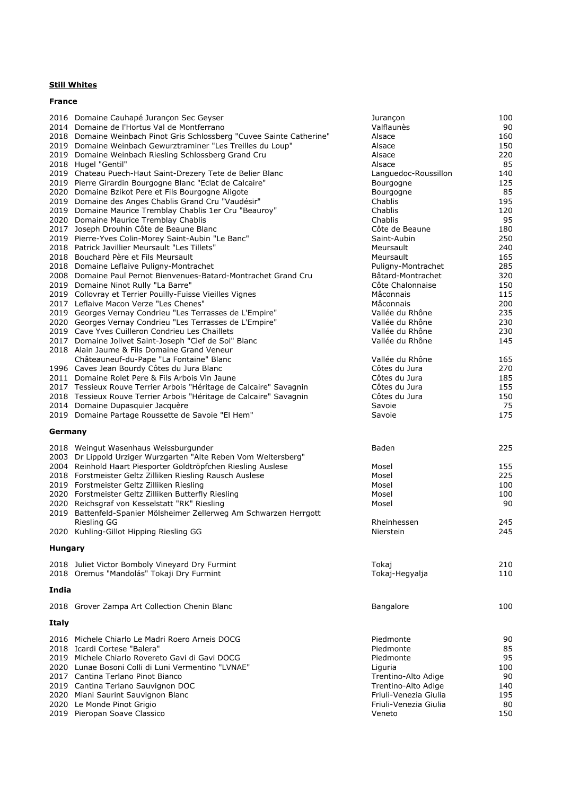# **Still Whites**

| JUIL WHILLS   |  |
|---------------|--|
|               |  |
| <b>France</b> |  |

|                | 2016 Domaine Cauhapé Jurançon Sec Geyser                              | Jurançon              | 100 |
|----------------|-----------------------------------------------------------------------|-----------------------|-----|
|                | 2014 Domaine de l'Hortus Val de Montferrano                           | Valflaunès            | 90  |
|                | 2018 Domaine Weinbach Pinot Gris Schlossberg "Cuvee Sainte Catherine" | Alsace                | 160 |
|                |                                                                       |                       |     |
|                | 2019 Domaine Weinbach Gewurztraminer "Les Treilles du Loup"           | Alsace                | 150 |
|                | 2019 Domaine Weinbach Riesling Schlossberg Grand Cru                  | Alsace                | 220 |
|                | 2018 Hugel "Gentil"                                                   | Alsace                | 85  |
|                | 2019 Chateau Puech-Haut Saint-Drezery Tete de Belier Blanc            | Languedoc-Roussillon  | 140 |
|                | 2019 Pierre Girardin Bourgogne Blanc "Eclat de Calcaire"              | Bourgogne             | 125 |
|                | 2020 Domaine Bzikot Pere et Fils Bourgogne Aligote                    | Bourgogne             | 85  |
|                |                                                                       |                       |     |
|                | 2019 Domaine des Anges Chablis Grand Cru "Vaudésir"                   | Chablis               | 195 |
|                | 2019 Domaine Maurice Tremblay Chablis 1er Cru "Beauroy"               | Chablis               | 120 |
|                | 2020 Domaine Maurice Tremblay Chablis                                 | Chablis               | 95  |
|                | 2017 Joseph Drouhin Côte de Beaune Blanc                              | Côte de Beaune        | 180 |
|                | 2019 Pierre-Yves Colin-Morey Saint-Aubin "Le Banc"                    | Saint-Aubin           | 250 |
|                | 2018 Patrick Javillier Meursault "Les Tillets"                        | Meursault             | 240 |
|                | 2018 Bouchard Père et Fils Meursault                                  | Meursault             | 165 |
|                |                                                                       |                       |     |
|                | 2018 Domaine Leflaive Puligny-Montrachet                              | Puligny-Montrachet    | 285 |
|                | 2008 Domaine Paul Pernot Bienvenues-Batard-Montrachet Grand Cru       | Bâtard-Montrachet     | 320 |
|                | 2019 Domaine Ninot Rully "La Barre"                                   | Côte Chalonnaise      | 150 |
|                | 2019 Collovray et Terrier Pouilly-Fuisse Vieilles Vignes              | Mâconnais             | 115 |
|                | 2017 Leflaive Macon Verze "Les Chenes"                                | Mâconnais             | 200 |
|                | 2019 Georges Vernay Condrieu "Les Terrasses de L'Empire"              | Vallée du Rhône       | 235 |
|                |                                                                       | Vallée du Rhône       | 230 |
|                | 2020 Georges Vernay Condrieu "Les Terrasses de L'Empire"              |                       |     |
|                | 2019 Cave Yves Cuilleron Condrieu Les Chaillets                       | Vallée du Rhône       | 230 |
|                | 2017 Domaine Jolivet Saint-Joseph "Clef de Sol" Blanc                 | Vallée du Rhône       | 145 |
|                | 2018 Alain Jaume & Fils Domaine Grand Veneur                          |                       |     |
|                | Châteauneuf-du-Pape "La Fontaine" Blanc                               | Vallée du Rhône       | 165 |
|                | 1996 Caves Jean Bourdy Côtes du Jura Blanc                            | Côtes du Jura         | 270 |
|                | 2011 Domaine Rolet Pere & Fils Arbois Vin Jaune                       | Côtes du Jura         | 185 |
|                |                                                                       |                       |     |
|                | 2017 Tessieux Rouve Terrier Arbois "Héritage de Calcaire" Savagnin    | Côtes du Jura         | 155 |
|                | 2018 Tessieux Rouve Terrier Arbois "Héritage de Calcaire" Savagnin    | Côtes du Jura         | 150 |
|                | 2014 Domaine Dupasquier Jacquère                                      | Savoie                | 75  |
|                | 2019 Domaine Partage Roussette de Savoie "El Hem"                     | Savoie                | 175 |
| Germany        |                                                                       |                       |     |
|                |                                                                       |                       |     |
|                | 2018 Weingut Wasenhaus Weissburgunder                                 | Baden                 | 225 |
|                | 2003 Dr Lippold Urziger Wurzgarten "Alte Reben Vom Weltersberg"       |                       |     |
|                | 2004 Reinhold Haart Piesporter Goldtröpfchen Riesling Auslese         | Mosel                 | 155 |
|                | 2018 Forstmeister Geltz Zilliken Riesling Rausch Auslese              | Mosel                 | 225 |
|                |                                                                       |                       |     |
|                | 2019 Forstmeister Geltz Zilliken Riesling                             | Mosel                 | 100 |
|                | 2020 Forstmeister Geltz Zilliken Butterfly Riesling                   | Mosel                 | 100 |
|                | 2020 Reichsgraf von Kesselstatt "RK" Riesling                         | Mosel                 | 90  |
|                | 2019 Battenfeld-Spanier Mölsheimer Zellerweg Am Schwarzen Herrgott    |                       |     |
|                | Riesling GG                                                           | Rheinhessen           | 245 |
|                | 2020 Kuhling-Gillot Hipping Riesling GG                               | Nierstein             | 245 |
|                |                                                                       |                       |     |
| <b>Hungary</b> |                                                                       |                       |     |
|                | 2018 Juliet Victor Bomboly Vineyard Dry Furmint                       | Tokaj                 | 210 |
|                |                                                                       |                       |     |
|                | 2018 Oremus "Mandolás" Tokaji Dry Furmint                             | Tokaj-Hegyalja        | 110 |
| India          |                                                                       |                       |     |
|                | 2018 Grover Zampa Art Collection Chenin Blanc                         | Bangalore             | 100 |
| Italy          |                                                                       |                       |     |
|                |                                                                       |                       |     |
|                | 2016 Michele Chiarlo Le Madri Roero Arneis DOCG                       | Piedmonte             | 90  |
|                | 2018 Icardi Cortese "Balera"                                          | Piedmonte             | 85  |
|                | 2019 Michele Chiarlo Rovereto Gavi di Gavi DOCG                       | Piedmonte             | 95  |
|                |                                                                       |                       |     |
|                | 2020 Lunae Bosoni Colli di Luni Vermentino "LVNAE"                    | Liguria               | 100 |
|                | 2017 Cantina Terlano Pinot Bianco                                     | Trentino-Alto Adige   | 90  |
|                | 2019 Cantina Terlano Sauvignon DOC                                    | Trentino-Alto Adige   | 140 |
|                |                                                                       |                       |     |
|                | 2020 Miani Saurint Sauvignon Blanc                                    | Friuli-Venezia Giulia | 195 |
|                | 2020 Le Monde Pinot Grigio                                            | Friuli-Venezia Giulia | 80  |
|                | 2019 Pieropan Soave Classico                                          | Veneto                | 150 |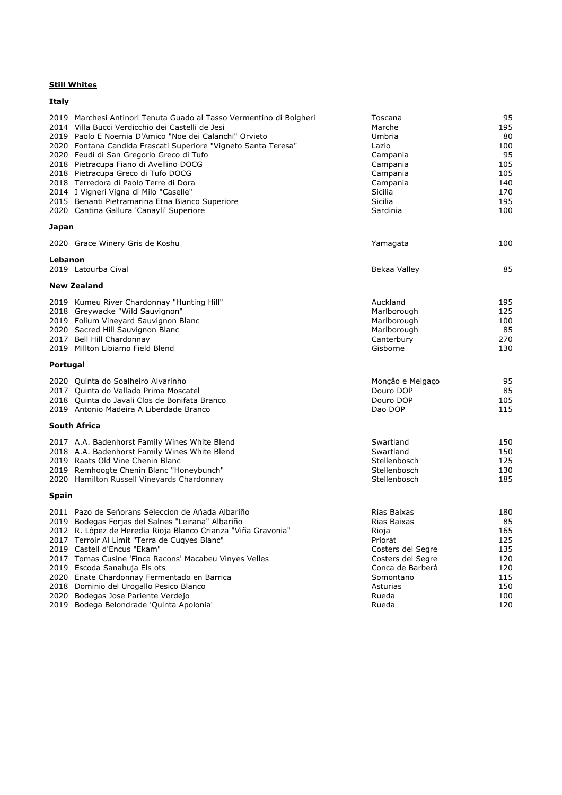# **Still Whites**

| <b>Italy</b> |                                                                                                                                                                                                                                                                                                                                                                                                                                                                                                                                                                   |                                                                                                                                                         |                                                                          |
|--------------|-------------------------------------------------------------------------------------------------------------------------------------------------------------------------------------------------------------------------------------------------------------------------------------------------------------------------------------------------------------------------------------------------------------------------------------------------------------------------------------------------------------------------------------------------------------------|---------------------------------------------------------------------------------------------------------------------------------------------------------|--------------------------------------------------------------------------|
|              | 2019 Marchesi Antinori Tenuta Guado al Tasso Vermentino di Bolgheri<br>2014 Villa Bucci Verdicchio dei Castelli de Jesi<br>2019 Paolo E Noemia D'Amico "Noe dei Calanchi" Orvieto<br>2020 Fontana Candida Frascati Superiore "Vigneto Santa Teresa"<br>2020 Feudi di San Gregorio Greco di Tufo<br>2018 Pietracupa Fiano di Avellino DOCG<br>2018 Pietracupa Greco di Tufo DOCG<br>2018 Terredora di Paolo Terre di Dora<br>2014 I Vigneri Vigna di Milo "Caselle"<br>2015 Benanti Pietramarina Etna Bianco Superiore<br>2020 Cantina Gallura 'Canayli' Superiore | Toscana<br>Marche<br>Umbria<br>Lazio<br>Campania<br>Campania<br>Campania<br>Campania<br>Sicilia<br>Sicilia<br>Sardinia                                  | 95<br>195<br>80<br>100<br>95<br>105<br>105<br>140<br>170<br>195<br>100   |
| Japan        |                                                                                                                                                                                                                                                                                                                                                                                                                                                                                                                                                                   |                                                                                                                                                         |                                                                          |
|              | 2020 Grace Winery Gris de Koshu                                                                                                                                                                                                                                                                                                                                                                                                                                                                                                                                   | Yamagata                                                                                                                                                | 100                                                                      |
| Lebanon      | 2019 Latourba Cival                                                                                                                                                                                                                                                                                                                                                                                                                                                                                                                                               | Bekaa Valley                                                                                                                                            | 85                                                                       |
|              | <b>New Zealand</b>                                                                                                                                                                                                                                                                                                                                                                                                                                                                                                                                                |                                                                                                                                                         |                                                                          |
|              | 2019 Kumeu River Chardonnay "Hunting Hill"<br>2018 Greywacke "Wild Sauvignon"<br>2019 Folium Vineyard Sauvignon Blanc<br>2020 Sacred Hill Sauvignon Blanc<br>2017 Bell Hill Chardonnay<br>2019 Millton Libiamo Field Blend                                                                                                                                                                                                                                                                                                                                        | Auckland<br>Marlborough<br>Marlborough<br>Marlborough<br>Canterbury<br>Gisborne                                                                         | 195<br>125<br>100<br>85<br>270<br>130                                    |
| Portugal     |                                                                                                                                                                                                                                                                                                                                                                                                                                                                                                                                                                   |                                                                                                                                                         |                                                                          |
|              | 2020 Quinta do Soalheiro Alvarinho<br>2017 Quinta do Vallado Prima Moscatel<br>2018 Quinta do Javali Clos de Bonifata Branco<br>2019 Antonio Madeira A Liberdade Branco                                                                                                                                                                                                                                                                                                                                                                                           | Monção e Melgaço<br>Douro DOP<br>Douro DOP<br>Dao DOP                                                                                                   | 95<br>85<br>105<br>115                                                   |
|              | <b>South Africa</b>                                                                                                                                                                                                                                                                                                                                                                                                                                                                                                                                               |                                                                                                                                                         |                                                                          |
|              | 2017 A.A. Badenhorst Family Wines White Blend<br>2018 A.A. Badenhorst Family Wines White Blend<br>2019 Raats Old Vine Chenin Blanc<br>2019 Remhoogte Chenin Blanc "Honeybunch"<br>2020 Hamilton Russell Vineyards Chardonnay                                                                                                                                                                                                                                                                                                                                      | Swartland<br>Swartland<br>Stellenbosch<br>Stellenbosch<br>Stellenbosch                                                                                  | 150<br>150<br>125<br>130<br>185                                          |
| <b>Spain</b> |                                                                                                                                                                                                                                                                                                                                                                                                                                                                                                                                                                   |                                                                                                                                                         |                                                                          |
|              | 2011 Pazo de Señorans Seleccion de Añada Albariño<br>2019 Bodegas Forjas del Salnes "Leirana" Albariño<br>2012 R. López de Heredia Rioja Blanco Crianza "Viña Gravonia"<br>2017 Terroir Al Limit "Terra de Cuqyes Blanc"<br>2019 Castell d'Encus "Ekam"<br>2017 Tomas Cusine 'Finca Racons' Macabeu Vinyes Velles<br>2019 Escoda Sanahuja Els ots<br>2020 Enate Chardonnay Fermentado en Barrica<br>2018 Dominio del Urogallo Pesico Blanco<br>2020 Bodegas Jose Pariente Verdejo<br>2019 Bodega Belondrade 'Quinta Apolonia'                                     | Rias Baixas<br>Rias Baixas<br>Rioja<br>Priorat<br>Costers del Segre<br>Costers del Segre<br>Conca de Barberà<br>Somontano<br>Asturias<br>Rueda<br>Rueda | 180<br>85<br>165<br>125<br>135<br>120<br>120<br>115<br>150<br>100<br>120 |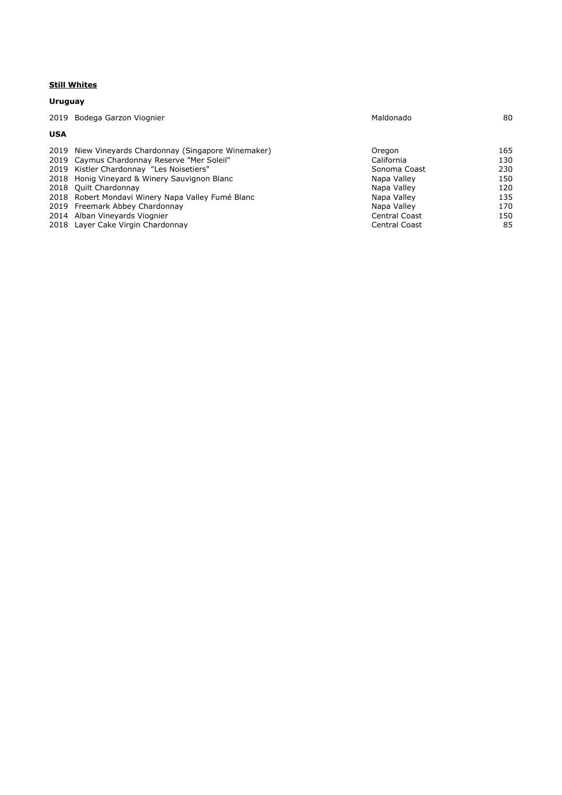#### **Still Whites**

|            | Uruguay                                              |                      |     |  |
|------------|------------------------------------------------------|----------------------|-----|--|
| 2019       | Bodega Garzon Viognier                               | Maldonado            | 80  |  |
| <b>USA</b> |                                                      |                      |     |  |
|            | 2019 Niew Vineyards Chardonnay (Singapore Winemaker) | Oregon               | 165 |  |
|            | 2019 Caymus Chardonnay Reserve "Mer Soleil"          | California           | 130 |  |
|            | 2019 Kistler Chardonnay "Les Noisetiers"             | Sonoma Coast         | 230 |  |
|            | 2018 Honig Vineyard & Winery Sauvignon Blanc         | Napa Valley          | 150 |  |
|            | 2018 Ouilt Chardonnay                                | Napa Valley          | 120 |  |
|            | 2018 Robert Mondavi Winery Napa Valley Fumé Blanc    | Napa Valley          | 135 |  |
|            | 2019 Freemark Abbey Chardonnay                       | Napa Valley          | 170 |  |
|            | 2014 Alban Vineyards Viognier                        | Central Coast        | 150 |  |
|            | 2018 Layer Cake Virgin Chardonnay                    | <b>Central Coast</b> | 85  |  |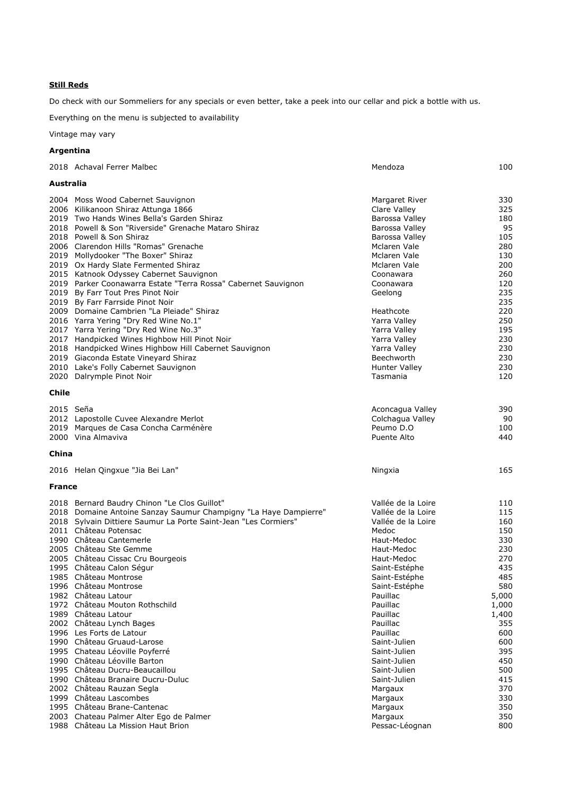Do check with our Sommeliers for any specials or even better, take a peek into our cellar and pick a bottle with us.

Everything on the menu is subjected to availability

Vintage may vary

# **Argentina**

|               | 2018 Achaval Ferrer Malbec                                                                                       | Mendoza               | 100   |  |  |
|---------------|------------------------------------------------------------------------------------------------------------------|-----------------------|-------|--|--|
|               | Australia                                                                                                        |                       |       |  |  |
|               | 2004 Moss Wood Cabernet Sauvignon                                                                                | Margaret River        | 330   |  |  |
|               | 2006 Kilikanoon Shiraz Attunga 1866                                                                              | Clare Valley          | 325   |  |  |
|               | 2019 Two Hands Wines Bella's Garden Shiraz                                                                       | Barossa Valley        | 180   |  |  |
|               | 2018 Powell & Son "Riverside" Grenache Mataro Shiraz                                                             | <b>Barossa Valley</b> | 95    |  |  |
|               | 2018 Powell & Son Shiraz                                                                                         | Barossa Valley        | 105   |  |  |
|               | 2006 Clarendon Hills "Romas" Grenache                                                                            | Mclaren Vale          | 280   |  |  |
|               | 2019 Mollydooker "The Boxer" Shiraz                                                                              | Mclaren Vale          | 130   |  |  |
|               | 2019 Ox Hardy Slate Fermented Shiraz                                                                             | Mclaren Vale          | 200   |  |  |
|               | 2015 Katnook Odyssey Cabernet Sauvignon                                                                          | Coonawara             | 260   |  |  |
|               | 2019 Parker Coonawarra Estate "Terra Rossa" Cabernet Sauvignon                                                   | Coonawara             | 120   |  |  |
|               | 2019 By Farr Tout Pres Pinot Noir                                                                                | Geelong               | 235   |  |  |
|               | 2019 By Farr Farrside Pinot Noir                                                                                 |                       | 235   |  |  |
|               | 2009 Domaine Cambrien "La Pleiade" Shiraz                                                                        | Heathcote             | 220   |  |  |
|               | 2016 Yarra Yering "Dry Red Wine No.1"                                                                            | Yarra Valley          | 250   |  |  |
|               | 2017 Yarra Yering "Dry Red Wine No.3"                                                                            | Yarra Valley          | 195   |  |  |
|               | 2017 Handpicked Wines Highbow Hill Pinot Noir                                                                    | Yarra Valley          | 230   |  |  |
|               | 2018 Handpicked Wines Highbow Hill Cabernet Sauvignon                                                            | Yarra Valley          | 230   |  |  |
|               | 2019 Giaconda Estate Vineyard Shiraz                                                                             | Beechworth            | 230   |  |  |
|               | 2010 Lake's Folly Cabernet Sauvignon                                                                             | <b>Hunter Valley</b>  | 230   |  |  |
|               | 2020 Dalrymple Pinot Noir                                                                                        | Tasmania              | 120   |  |  |
| Chile         |                                                                                                                  |                       |       |  |  |
|               |                                                                                                                  |                       |       |  |  |
| 2015 Seña     |                                                                                                                  | Aconcagua Valley      | 390   |  |  |
|               | 2012 Lapostolle Cuvee Alexandre Merlot                                                                           | Colchagua Valley      | 90    |  |  |
|               | 2019 Marques de Casa Concha Carménère                                                                            | Peumo D.O             | 100   |  |  |
|               | 2000 Vina Almaviva                                                                                               | Puente Alto           | 440   |  |  |
|               |                                                                                                                  |                       |       |  |  |
| China         |                                                                                                                  |                       |       |  |  |
|               | 2016 Helan Qingxue "Jia Bei Lan"                                                                                 | Ningxia               | 165   |  |  |
| <b>France</b> |                                                                                                                  |                       |       |  |  |
|               |                                                                                                                  | Vallée de la Loire    | 110   |  |  |
|               | 2018 Bernard Baudry Chinon "Le Clos Guillot"<br>2018 Domaine Antoine Sanzay Saumur Champigny "La Haye Dampierre" | Vallée de la Loire    | 115   |  |  |
|               | 2018 Sylvain Dittiere Saumur La Porte Saint-Jean "Les Cormiers"                                                  | Vallée de la Loire    | 160   |  |  |
|               | 2011 Château Potensac                                                                                            | Medoc                 | 150   |  |  |
|               | 1990 Château Cantemerle                                                                                          | Haut-Medoc            | 330   |  |  |
|               | 2005 Château Ste Gemme                                                                                           | Haut-Medoc            | 230   |  |  |
|               | 2005 Château Cissac Cru Bourgeois                                                                                | Haut-Medoc            | 270   |  |  |
|               | 1995 Château Calon Ségur                                                                                         | Saint-Estéphe         | 435   |  |  |
|               | 1985 Château Montrose                                                                                            | Saint-Estéphe         | 485   |  |  |
|               | 1996 Château Montrose                                                                                            | Saint-Estéphe         | 580   |  |  |
|               | 1982 Château Latour                                                                                              | Pauillac              | 5,000 |  |  |
|               | 1972 Château Mouton Rothschild                                                                                   | Pauillac              | 1,000 |  |  |
|               | 1989 Château Latour                                                                                              | Pauillac              | 1,400 |  |  |
|               | 2002 Château Lynch Bages                                                                                         | Pauillac              | 355   |  |  |
|               | 1996 Les Forts de Latour                                                                                         | Pauillac              | 600   |  |  |
|               | 1990 Château Gruaud-Larose                                                                                       | Saint-Julien          | 600   |  |  |
|               | 1995 Chateau Léoville Poyferré                                                                                   | Saint-Julien          | 395   |  |  |
|               | 1990 Château Léoville Barton                                                                                     | Saint-Julien          | 450   |  |  |
|               | 1995 Château Ducru-Beaucaillou                                                                                   | Saint-Julien          | 500   |  |  |
|               | 1990 Château Branaire Ducru-Duluc                                                                                | Saint-Julien          | 415   |  |  |
|               | 2002 Château Rauzan Segla                                                                                        | Margaux               | 370   |  |  |
|               | 1999 Château Lascombes                                                                                           | Margaux               | 330   |  |  |
|               | 1995 Château Brane-Cantenac                                                                                      | Margaux               | 350   |  |  |
|               | 2003 Chateau Palmer Alter Ego de Palmer                                                                          | Margaux               | 350   |  |  |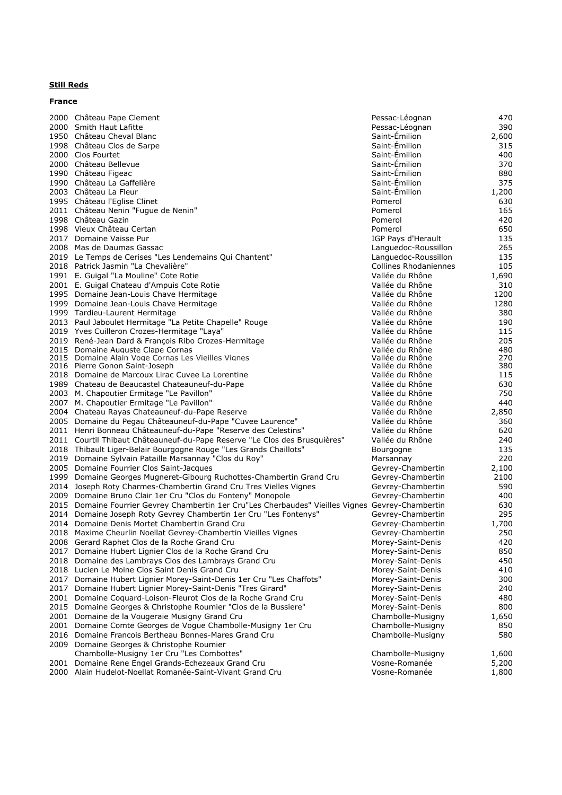# **Still Reds France**

|      | 2000 Château Pape Clement                                                                                | Pessac-Léognan                         | 470         |
|------|----------------------------------------------------------------------------------------------------------|----------------------------------------|-------------|
|      | 2000 Smith Haut Lafitte                                                                                  | Pessac-Léognan                         | 390         |
|      | 1950 Château Cheval Blanc                                                                                | Saint-Emilion                          | 2,600       |
|      | 1998 Château Clos de Sarpe                                                                               | Saint-Emilion                          | 315         |
|      | 2000 Clos Fourtet                                                                                        | Saint-Emilion                          | 400         |
|      | 2000 Château Bellevue                                                                                    | Saint-Émilion                          | 370         |
|      | 1990 Château Figeac                                                                                      | Saint-Emilion                          | 880         |
|      | 1990 Château La Gaffelière                                                                               | Saint-Emilion                          | 375         |
|      | 2003 Château La Fleur                                                                                    | Saint-Émilion                          | 1,200       |
|      | 1995 Château l'Eglise Clinet                                                                             | Pomerol                                | 630         |
|      | 2011 Château Nenin "Fugue de Nenin"                                                                      | Pomerol                                | 165         |
|      | 1998 Château Gazin                                                                                       | Pomerol                                | 420         |
|      | 1998 Vieux Château Certan                                                                                | Pomerol                                | 650         |
|      | 2017 Domaine Vaisse Pur                                                                                  | IGP Pays d'Herault                     | 135         |
|      | 2008 Mas de Daumas Gassac                                                                                | Languedoc-Roussillon                   | 265         |
|      | 2019 Le Temps de Cerises "Les Lendemains Qui Chantent"                                                   | Languedoc-Roussillon                   | 135         |
|      | 2018 Patrick Jasmin "La Chevalière"                                                                      | <b>Collines Rhodaniennes</b>           | 105         |
|      | 1991 E. Guigal "La Mouline" Cote Rotie                                                                   | Vallée du Rhône                        | 1,690       |
|      | 2001 E. Guigal Chateau d'Ampuis Cote Rotie<br>1995 Domaine Jean-Louis Chave Hermitage                    | Vallée du Rhône<br>Vallée du Rhône     | 310<br>1200 |
|      | 1999 Domaine Jean-Louis Chave Hermitage                                                                  | Vallée du Rhône                        | 1280        |
|      | 1999 Tardieu-Laurent Hermitage                                                                           | Vallée du Rhône                        | 380         |
|      | 2013 Paul Jaboulet Hermitage "La Petite Chapelle" Rouge                                                  | Vallée du Rhône                        | 190         |
|      | 2019 Yves Cuilleron Crozes-Hermitage "Laya"                                                              | Vallée du Rhône                        | 115         |
|      | 2019 René-Jean Dard & François Ribo Crozes-Hermitage                                                     | Vallée du Rhône                        | 205         |
|      | 2015 Domaine Auguste Clape Cornas                                                                        | Vallée du Rhône                        | 480         |
|      | 2015 Domaine Alain Voge Cornas Les Vieilles Vignes                                                       | Vallée du Rhône                        | 270         |
|      | 2016 Pierre Gonon Saint-Joseph                                                                           | Vallée du Rhône                        | 380         |
|      | 2018 Domaine de Marcoux Lirac Cuvee La Lorentine                                                         | Vallée du Rhône                        | 115         |
|      | 1989 Chateau de Beaucastel Chateauneuf-du-Pape                                                           | Vallée du Rhône                        | 630         |
|      | 2003 M. Chapoutier Ermitage "Le Pavillon"                                                                | Vallée du Rhône                        | 750         |
|      | 2007 M. Chapoutier Ermitage "Le Pavillon"                                                                | Vallée du Rhône                        | 440         |
|      | 2004 Chateau Rayas Chateauneuf-du-Pape Reserve                                                           | Vallée du Rhône                        | 2,850       |
|      | 2005 Domaine du Pegau Châteauneuf-du-Pape "Cuvee Laurence"                                               | Vallée du Rhône                        | 360         |
|      | 2011 Henri Bonneau Châteauneuf-du-Pape "Reserve des Celestins"                                           | Vallée du Rhône                        | 620         |
|      | 2011 Courtil Thibaut Châteauneuf-du-Pape Reserve "Le Clos des Brusquières"                               | Vallée du Rhône                        | 240         |
|      | 2018 Thibault Liger-Belair Bourgogne Rouge "Les Grands Chaillots"                                        | Bourgogne                              | 135         |
|      | 2019 Domaine Sylvain Pataille Marsannay "Clos du Roy"                                                    | Marsannay                              | 220         |
|      | 2005 Domaine Fourrier Clos Saint-Jacques                                                                 | Gevrey-Chambertin                      | 2,100       |
|      | 1999 Domaine Georges Mugneret-Gibourg Ruchottes-Chambertin Grand Cru                                     | Gevrey-Chambertin                      | 2100        |
|      | 2014 Joseph Roty Charmes-Chambertin Grand Cru Tres Vielles Vignes                                        | Gevrey-Chambertin                      | 590         |
|      | 2009 Domaine Bruno Clair 1er Cru "Clos du Fonteny" Monopole                                              | Gevrey-Chambertin                      | 400         |
|      | 2015 Domaine Fourrier Gevrey Chambertin 1er Cru"Les Cherbaudes" Vieilles Vignes Gevrey-Chambertin        |                                        | 630         |
|      | 2014 Domaine Joseph Roty Gevrey Chambertin 1er Cru "Les Fontenys"                                        | Gevrey-Chambertin                      | 295         |
|      | 2014 Domaine Denis Mortet Chambertin Grand Cru                                                           | Gevrey-Chambertin                      | 1,700       |
|      | 2018 Maxime Cheurlin Noellat Gevrey-Chambertin Vieilles Vignes                                           | Gevrey-Chambertin                      | 250         |
|      | 2008 Gerard Raphet Clos de la Roche Grand Cru                                                            | Morey-Saint-Denis                      | 420         |
| 2017 | Domaine Hubert Lignier Clos de la Roche Grand Cru                                                        | Morey-Saint-Denis<br>Morey-Saint-Denis | 850<br>450  |
|      | 2018 Domaine des Lambrays Clos des Lambrays Grand Cru<br>2018 Lucien Le Moine Clos Saint Denis Grand Cru | Morey-Saint-Denis                      | 410         |
|      | 2017 Domaine Hubert Lignier Morey-Saint-Denis 1er Cru "Les Chaffots"                                     | Morey-Saint-Denis                      |             |
| 2017 | Domaine Hubert Lignier Morey-Saint-Denis "Tres Girard"                                                   | Morey-Saint-Denis                      | 300<br>240  |
|      | 2001 Domaine Coguard-Loison-Fleurot Clos de la Roche Grand Cru                                           | Morey-Saint-Denis                      | 480         |
|      | 2015 Domaine Georges & Christophe Roumier "Clos de la Bussiere"                                          | Morey-Saint-Denis                      | 800         |
|      | 2001 Domaine de la Vougeraie Musigny Grand Cru                                                           | Chambolle-Musigny                      | 1,650       |
|      | 2001 Domaine Comte Georges de Vogue Chambolle-Musigny 1er Cru                                            | Chambolle-Musigny                      | 850         |
|      | 2016 Domaine Francois Bertheau Bonnes-Mares Grand Cru                                                    | Chambolle-Musigny                      | 580         |
| 2009 | Domaine Georges & Christophe Roumier                                                                     |                                        |             |
|      | Chambolle-Musigny 1er Cru "Les Combottes"                                                                | Chambolle-Musigny                      | 1,600       |
|      | 2001 Domaine Rene Engel Grands-Echezeaux Grand Cru                                                       | Vosne-Romanée                          | 5,200       |
|      | 2000 Alain Hudelot-Noellat Romanée-Saint-Vivant Grand Cru                                                | Vosne-Romanée                          | 1,800       |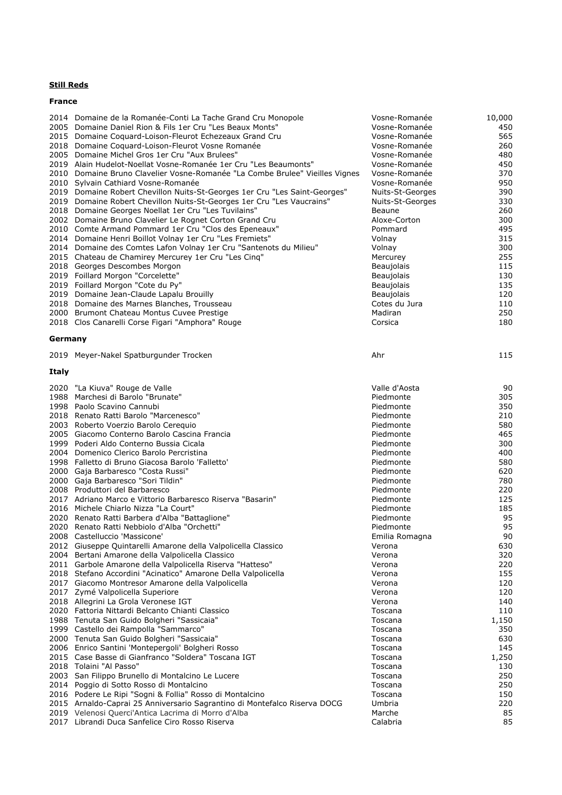### **France**

|              | 2014 Domaine de la Romanée-Conti La Tache Grand Cru Monopole                                                    | Vosne-Romanée          | 10,000     |
|--------------|-----------------------------------------------------------------------------------------------------------------|------------------------|------------|
|              | 2005 Domaine Daniel Rion & Fils 1er Cru "Les Beaux Monts"                                                       | Vosne-Romanée          | 450        |
|              | 2015 Domaine Coquard-Loison-Fleurot Echezeaux Grand Cru                                                         | Vosne-Romanée          | 565        |
|              | 2018 Domaine Coquard-Loison-Fleurot Vosne Romanée                                                               | Vosne-Romanée          | 260        |
|              | 2005 Domaine Michel Gros 1er Cru "Aux Brulees"                                                                  | Vosne-Romanée          | 480        |
|              | 2019 Alain Hudelot-Noellat Vosne-Romanée 1er Cru "Les Beaumonts"                                                | Vosne-Romanée          | 450        |
|              | 2010 Domaine Bruno Clavelier Vosne-Romanée "La Combe Brulee" Vieilles Vignes                                    | Vosne-Romanée          | 370        |
|              | 2010 Sylvain Cathiard Vosne-Romanée                                                                             | Vosne-Romanée          | 950        |
|              | 2019 Domaine Robert Chevillon Nuits-St-Georges 1er Cru "Les Saint-Georges"                                      | Nuits-St-Georges       | 390        |
|              | 2019 Domaine Robert Chevillon Nuits-St-Georges 1er Cru "Les Vaucrains"                                          | Nuits-St-Georges       | 330        |
|              | 2018 Domaine Georges Noellat 1er Cru "Les Tuvilains"<br>2002 Domaine Bruno Clavelier Le Rognet Corton Grand Cru | Beaune<br>Aloxe-Corton | 260<br>300 |
|              | 2010 Comte Armand Pommard 1er Cru "Clos des Epeneaux"                                                           | Pommard                | 495        |
|              | 2014 Domaine Henri Boillot Volnay 1er Cru "Les Fremiets"                                                        | Volnay                 | 315        |
|              | 2014 Domaine des Comtes Lafon Volnay 1er Cru "Santenots du Milieu"                                              | Volnay                 | 300        |
|              | 2015 Chateau de Chamirey Mercurey 1er Cru "Les Cinq"                                                            | Mercurey               | 255        |
|              | 2018 Georges Descombes Morgon                                                                                   | <b>Beaujolais</b>      | 115        |
|              | 2019 Foillard Morgon "Corcelette"                                                                               | <b>Beaujolais</b>      | 130        |
|              | 2019 Foillard Morgon "Cote du Py"                                                                               | <b>Beaujolais</b>      | 135        |
|              | 2019 Domaine Jean-Claude Lapalu Brouilly                                                                        | Beaujolais             | 120        |
|              | 2018 Domaine des Marnes Blanches, Trousseau                                                                     | Cotes du Jura          | 110        |
|              | 2000 Brumont Chateau Montus Cuvee Prestige                                                                      | Madiran                | 250        |
|              | 2018 Clos Canarelli Corse Figari "Amphora" Rouge                                                                | Corsica                | 180        |
|              |                                                                                                                 |                        |            |
| Germany      |                                                                                                                 |                        |            |
|              | 2019 Meyer-Nakel Spatburgunder Trocken                                                                          | Ahr                    | 115        |
|              |                                                                                                                 |                        |            |
| <b>Italy</b> |                                                                                                                 |                        |            |
|              | 2020 "La Kiuva" Rouge de Valle                                                                                  | Valle d'Aosta          | 90         |
|              | 1988 Marchesi di Barolo "Brunate"                                                                               | Piedmonte              | 305        |
|              | 1998 Paolo Scavino Cannubi                                                                                      | Piedmonte              | 350        |
|              | 2018 Renato Ratti Barolo "Marcenesco"                                                                           | Piedmonte              | 210        |
|              | 2003 Roberto Voerzio Barolo Cerequio                                                                            | Piedmonte              | 580        |
|              | 2005 Giacomo Conterno Barolo Cascina Francia                                                                    | Piedmonte              | 465        |
|              | 1999 Poderi Aldo Conterno Bussia Cicala                                                                         | Piedmonte              | 300        |
|              | 2004 Domenico Clerico Barolo Percristina                                                                        | Piedmonte              | 400        |
|              | 1998 Falletto di Bruno Giacosa Barolo 'Falletto'                                                                | Piedmonte              | 580        |
|              | 2000 Gaja Barbaresco "Costa Russi"                                                                              | Piedmonte              | 620        |
|              | 2000 Gaja Barbaresco "Sori Tildin"                                                                              | Piedmonte              | 780        |
|              | 2008 Produttori del Barbaresco                                                                                  | Piedmonte              | 220        |
|              | 2017 Adriano Marco e Vittorio Barbaresco Riserva "Basarin"                                                      | Piedmonte              | 125        |
|              | 2016 Michele Chiarlo Nizza "La Court"                                                                           | Piedmonte              | 185        |
|              | 2020 Renato Ratti Barbera d'Alba "Battaglione"                                                                  | Piedmonte              | 95         |
|              | 2020 Renato Ratti Nebbiolo d'Alba "Orchetti"                                                                    | Piedmonte              | 95         |
|              | 2008 Castelluccio 'Massicone'                                                                                   | Emilia Romagna         | 90         |
|              | 2012 Giuseppe Quintarelli Amarone della Valpolicella Classico                                                   | Verona                 | 630        |
|              | 2004 Bertani Amarone della Valpolicella Classico                                                                | Verona                 | 320        |
|              | 2011 Garbole Amarone della Valpolicella Riserva "Hatteso"                                                       | Verona                 | 220        |
|              | 2018 Stefano Accordini "Acinatico" Amarone Della Valpolicella                                                   | Verona                 | 155        |
|              | 2017 Giacomo Montresor Amarone della Valpolicella                                                               | Verona                 | 120        |
|              | 2017 Zymé Valpolicella Superiore<br>2018 Allegrini La Grola Veronese IGT                                        | Verona                 | 120<br>140 |
|              | 2020 Fattoria Nittardi Belcanto Chianti Classico                                                                | Verona<br>Toscana      | 110        |
|              | 1988 Tenuta San Guido Bolgheri "Sassicaia"                                                                      | Toscana                | 1,150      |
|              | 1999 Castello dei Rampolla "Sammarco"                                                                           | Toscana                | 350        |
|              | 2000 Tenuta San Guido Bolgheri "Sassicaia"                                                                      | Toscana                | 630        |
|              | 2006 Enrico Santini 'Montepergoli' Bolgheri Rosso                                                               | Toscana                | 145        |
|              | 2015 Case Basse di Gianfranco "Soldera" Toscana IGT                                                             | Toscana                | 1,250      |
|              | 2018 Tolaini "Al Passo"                                                                                         | Toscana                | 130        |
|              | 2003 San Filippo Brunello di Montalcino Le Lucere                                                               | Toscana                | 250        |
|              | 2014 Poggio di Sotto Rosso di Montalcino                                                                        | Toscana                | 250        |
|              | 2016 Podere Le Ripi "Sogni & Follia" Rosso di Montalcino                                                        | Toscana                | 150        |
|              | 2015 Arnaldo-Caprai 25 Anniversario Sagrantino di Montefalco Riserva DOCG                                       | Umbria                 | 220        |
|              | 2019 Velenosi Querci'Antica Lacrima di Morro d'Alba                                                             | Marche                 | 85         |
| 2017         | Librandi Duca Sanfelice Ciro Rosso Riserva                                                                      | Calabria               | 85         |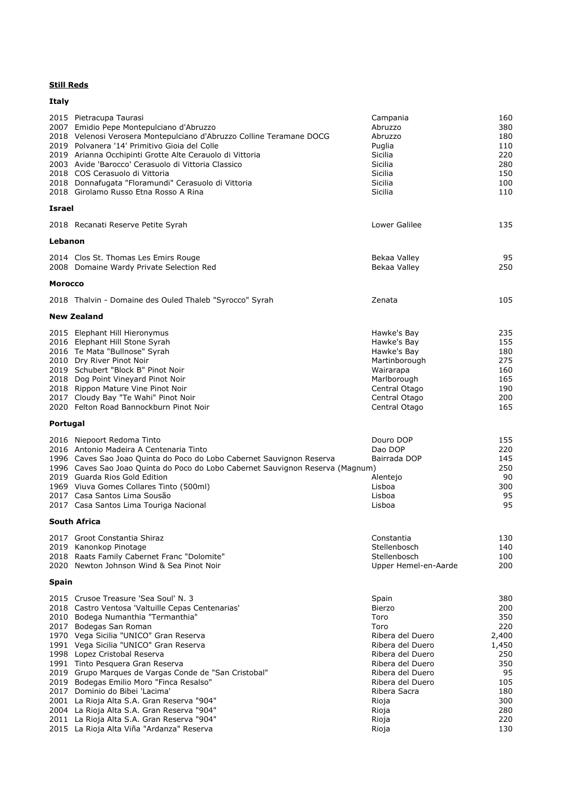| Italy          |                                                                                                                                                                                                                                                                                                                                                                                                                                                                                                                                                                                                                                                 |                                                                                                                                                                                                                    |                                                                                                          |
|----------------|-------------------------------------------------------------------------------------------------------------------------------------------------------------------------------------------------------------------------------------------------------------------------------------------------------------------------------------------------------------------------------------------------------------------------------------------------------------------------------------------------------------------------------------------------------------------------------------------------------------------------------------------------|--------------------------------------------------------------------------------------------------------------------------------------------------------------------------------------------------------------------|----------------------------------------------------------------------------------------------------------|
|                | 2015 Pietracupa Taurasi<br>2007 Emidio Pepe Montepulciano d'Abruzzo<br>2018 Velenosi Verosera Montepulciano d'Abruzzo Colline Teramane DOCG<br>2019 Polvanera '14' Primitivo Gioia del Colle<br>2019 Arianna Occhipinti Grotte Alte Cerauolo di Vittoria<br>2003 Avide 'Barocco' Cerasuolo di Vittoria Classico<br>2018 COS Cerasuolo di Vittoria<br>2018 Donnafugata "Floramundi" Cerasuolo di Vittoria<br>2018 Girolamo Russo Etna Rosso A Rina                                                                                                                                                                                               | Campania<br>Abruzzo<br>Abruzzo<br>Puglia<br>Sicilia<br>Sicilia<br>Sicilia<br>Sicilia<br>Sicilia                                                                                                                    | 160<br>380<br>180<br>110<br>220<br>280<br>150<br>100<br>110                                              |
| <b>Israel</b>  |                                                                                                                                                                                                                                                                                                                                                                                                                                                                                                                                                                                                                                                 |                                                                                                                                                                                                                    |                                                                                                          |
|                | 2018 Recanati Reserve Petite Syrah                                                                                                                                                                                                                                                                                                                                                                                                                                                                                                                                                                                                              | Lower Galilee                                                                                                                                                                                                      | 135                                                                                                      |
| Lebanon        |                                                                                                                                                                                                                                                                                                                                                                                                                                                                                                                                                                                                                                                 |                                                                                                                                                                                                                    |                                                                                                          |
|                | 2014 Clos St. Thomas Les Emirs Rouge<br>2008 Domaine Wardy Private Selection Red                                                                                                                                                                                                                                                                                                                                                                                                                                                                                                                                                                | Bekaa Valley<br>Bekaa Valley                                                                                                                                                                                       | 95<br>250                                                                                                |
| <b>Morocco</b> |                                                                                                                                                                                                                                                                                                                                                                                                                                                                                                                                                                                                                                                 |                                                                                                                                                                                                                    |                                                                                                          |
|                | 2018 Thalvin - Domaine des Ouled Thaleb "Syrocco" Syrah                                                                                                                                                                                                                                                                                                                                                                                                                                                                                                                                                                                         | Zenata                                                                                                                                                                                                             | 105                                                                                                      |
|                | <b>New Zealand</b>                                                                                                                                                                                                                                                                                                                                                                                                                                                                                                                                                                                                                              |                                                                                                                                                                                                                    |                                                                                                          |
|                | 2015 Elephant Hill Hieronymus<br>2016 Elephant Hill Stone Syrah<br>2016 Te Mata "Bullnose" Syrah<br>2010 Dry River Pinot Noir<br>2019 Schubert "Block B" Pinot Noir<br>2018 Dog Point Vineyard Pinot Noir<br>2018 Rippon Mature Vine Pinot Noir<br>2017 Cloudy Bay "Te Wahi" Pinot Noir<br>2020 Felton Road Bannockburn Pinot Noir                                                                                                                                                                                                                                                                                                              | Hawke's Bay<br>Hawke's Bay<br>Hawke's Bay<br>Martinborough<br>Wairarapa<br>Marlborough<br>Central Otago<br>Central Otago<br>Central Otago                                                                          | 235<br>155<br>180<br>275<br>160<br>165<br>190<br>200<br>165                                              |
| Portugal       |                                                                                                                                                                                                                                                                                                                                                                                                                                                                                                                                                                                                                                                 |                                                                                                                                                                                                                    |                                                                                                          |
|                | 2016 Niepoort Redoma Tinto<br>2016 Antonio Madeira A Centenaria Tinto<br>1996 Caves Sao Joao Quinta do Poco do Lobo Cabernet Sauvignon Reserva<br>1996 Caves Sao Joao Quinta do Poco do Lobo Cabernet Sauvignon Reserva (Magnum)<br>2019 Guarda Rios Gold Edition<br>1969 Viuva Gomes Collares Tinto (500ml)<br>2017 Casa Santos Lima Sousão<br>2017 Casa Santos Lima Touriga Nacional                                                                                                                                                                                                                                                          | Douro DOP<br>Dao DOP<br>Bairrada DOP<br>Alentejo<br>Lisboa<br>Lisboa<br>Lisboa                                                                                                                                     | 155<br>220<br>145<br>250<br>90<br>300<br>95<br>95                                                        |
|                | South Africa                                                                                                                                                                                                                                                                                                                                                                                                                                                                                                                                                                                                                                    |                                                                                                                                                                                                                    |                                                                                                          |
|                | 2017 Groot Constantia Shiraz<br>2019 Kanonkop Pinotage<br>2018 Raats Family Cabernet Franc "Dolomite"<br>2020 Newton Johnson Wind & Sea Pinot Noir                                                                                                                                                                                                                                                                                                                                                                                                                                                                                              | Constantia<br>Stellenbosch<br>Stellenbosch<br>Upper Hemel-en-Aarde                                                                                                                                                 | 130<br>140<br>100<br>200                                                                                 |
| <b>Spain</b>   |                                                                                                                                                                                                                                                                                                                                                                                                                                                                                                                                                                                                                                                 |                                                                                                                                                                                                                    |                                                                                                          |
|                | 2015 Crusoe Treasure 'Sea Soul' N. 3<br>2018 Castro Ventosa 'Valtuille Cepas Centenarias'<br>2010 Bodega Numanthia "Termanthia"<br>2017 Bodegas San Roman<br>1970 Vega Sicilia "UNICO" Gran Reserva<br>1991 Vega Sicilia "UNICO" Gran Reserva<br>1998 Lopez Cristobal Reserva<br>1991 Tinto Pesquera Gran Reserva<br>2019 Grupo Marques de Vargas Conde de "San Cristobal"<br>2019 Bodegas Emilio Moro "Finca Resalso"<br>2017 Dominio do Bibei 'Lacima'<br>2001 La Rioja Alta S.A. Gran Reserva "904"<br>2004 La Rioja Alta S.A. Gran Reserva "904"<br>2011 La Rioja Alta S.A. Gran Reserva "904"<br>2015 La Rioja Alta Viña "Ardanza" Reserva | Spain<br><b>Bierzo</b><br>Toro<br>Toro<br>Ribera del Duero<br>Ribera del Duero<br>Ribera del Duero<br>Ribera del Duero<br>Ribera del Duero<br>Ribera del Duero<br>Ribera Sacra<br>Rioja<br>Rioja<br>Rioja<br>Rioja | 380<br>200<br>350<br>220<br>2,400<br>1,450<br>250<br>350<br>95<br>105<br>180<br>300<br>280<br>220<br>130 |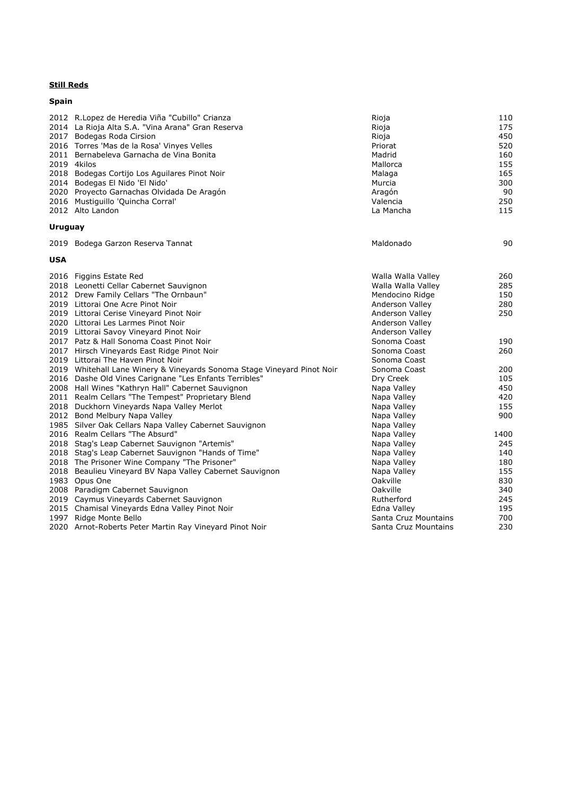# **Spain**

|         | 2012 R.Lopez de Heredia Viña "Cubillo" Crianza<br>2014 La Rioja Alta S.A. "Vina Arana" Gran Reserva<br>2017 Bodegas Roda Cirsion<br>2016 Torres 'Mas de la Rosa' Vinyes Velles<br>2011 Bernabeleva Garnacha de Vina Bonita<br>2019 4kilos<br>2018 Bodegas Cortijo Los Aguilares Pinot Noir<br>2014 Bodegas El Nido 'El Nido'<br>2020 Proyecto Garnachas Olvidada De Aragón | Rioja<br>Rioja<br>Rioja<br>Priorat<br>Madrid<br>Mallorca<br>Malaga<br>Murcia<br>Aragón | 110<br>175<br>450<br>520<br>160<br>155<br>165<br>300<br>90 |
|---------|----------------------------------------------------------------------------------------------------------------------------------------------------------------------------------------------------------------------------------------------------------------------------------------------------------------------------------------------------------------------------|----------------------------------------------------------------------------------------|------------------------------------------------------------|
|         | 2016 Mustiguillo 'Quincha Corral'<br>2012 Alto Landon                                                                                                                                                                                                                                                                                                                      | Valencia<br>La Mancha                                                                  | 250<br>115                                                 |
| Uruguay |                                                                                                                                                                                                                                                                                                                                                                            |                                                                                        |                                                            |
|         | 2019 Bodega Garzon Reserva Tannat                                                                                                                                                                                                                                                                                                                                          | Maldonado                                                                              | 90                                                         |
| USA     |                                                                                                                                                                                                                                                                                                                                                                            |                                                                                        |                                                            |
|         | 2016 Figgins Estate Red<br>2018 Leonetti Cellar Cabernet Sauvignon                                                                                                                                                                                                                                                                                                         | Walla Walla Valley<br>Walla Walla Valley                                               | 260<br>285                                                 |
|         | 2012 Drew Family Cellars "The Ornbaun"                                                                                                                                                                                                                                                                                                                                     | Mendocino Ridge                                                                        | 150                                                        |
|         | 2019 Littorai One Acre Pinot Noir                                                                                                                                                                                                                                                                                                                                          | Anderson Valley                                                                        | 280                                                        |
|         | 2019 Littorai Cerise Vineyard Pinot Noir                                                                                                                                                                                                                                                                                                                                   | Anderson Valley                                                                        | 250                                                        |
|         | 2020 Littorai Les Larmes Pinot Noir                                                                                                                                                                                                                                                                                                                                        | Anderson Valley                                                                        |                                                            |
|         | 2019 Littorai Savoy Vineyard Pinot Noir<br>2017 Patz & Hall Sonoma Coast Pinot Noir                                                                                                                                                                                                                                                                                        | Anderson Valley<br>Sonoma Coast                                                        | 190                                                        |
|         | 2017 Hirsch Vineyards East Ridge Pinot Noir                                                                                                                                                                                                                                                                                                                                | Sonoma Coast                                                                           | 260                                                        |
|         | 2019 Littorai The Haven Pinot Noir                                                                                                                                                                                                                                                                                                                                         | Sonoma Coast                                                                           |                                                            |
|         | 2019 Whitehall Lane Winery & Vineyards Sonoma Stage Vineyard Pinot Noir                                                                                                                                                                                                                                                                                                    | Sonoma Coast                                                                           | 200                                                        |
|         | 2016 Dashe Old Vines Carignane "Les Enfants Terribles"                                                                                                                                                                                                                                                                                                                     | Dry Creek                                                                              | 105                                                        |
|         | 2008 Hall Wines "Kathryn Hall" Cabernet Sauvignon                                                                                                                                                                                                                                                                                                                          | Napa Valley                                                                            | 450                                                        |
|         | 2011 Realm Cellars "The Tempest" Proprietary Blend                                                                                                                                                                                                                                                                                                                         | Napa Valley                                                                            | 420                                                        |
|         | 2018 Duckhorn Vineyards Napa Valley Merlot                                                                                                                                                                                                                                                                                                                                 | Napa Valley                                                                            | 155                                                        |
|         | 2012 Bond Melbury Napa Valley                                                                                                                                                                                                                                                                                                                                              | Napa Valley                                                                            | 900                                                        |
|         | 1985 Silver Oak Cellars Napa Valley Cabernet Sauvignon                                                                                                                                                                                                                                                                                                                     | Napa Valley                                                                            |                                                            |
|         | 2016 Realm Cellars "The Absurd"                                                                                                                                                                                                                                                                                                                                            | Napa Valley                                                                            | 1400                                                       |
|         | 2018 Stag's Leap Cabernet Sauvignon "Artemis"                                                                                                                                                                                                                                                                                                                              | Napa Valley                                                                            | 245                                                        |
|         | 2018 Stag's Leap Cabernet Sauvignon "Hands of Time"                                                                                                                                                                                                                                                                                                                        | Napa Valley                                                                            | 140                                                        |
|         | 2018 The Prisoner Wine Company "The Prisoner"                                                                                                                                                                                                                                                                                                                              | Napa Valley                                                                            | 180                                                        |
|         | 2018 Beaulieu Vineyard BV Napa Valley Cabernet Sauvignon                                                                                                                                                                                                                                                                                                                   | Napa Valley                                                                            | 155                                                        |
|         | 1983 Opus One                                                                                                                                                                                                                                                                                                                                                              | Oakville                                                                               | 830                                                        |
|         | 2008 Paradigm Cabernet Sauvignon                                                                                                                                                                                                                                                                                                                                           | Oakville                                                                               | 340                                                        |
|         | 2019 Caymus Vineyards Cabernet Sauvignon                                                                                                                                                                                                                                                                                                                                   | Rutherford                                                                             | 245                                                        |
|         | 2015 Chamisal Vineyards Edna Valley Pinot Noir                                                                                                                                                                                                                                                                                                                             | Edna Valley                                                                            | 195                                                        |
|         | 1997 Ridge Monte Bello                                                                                                                                                                                                                                                                                                                                                     | Santa Cruz Mountains                                                                   | 700                                                        |
|         | 2020 Arnot-Roberts Peter Martin Ray Vineyard Pinot Noir                                                                                                                                                                                                                                                                                                                    | Santa Cruz Mountains                                                                   | 230                                                        |